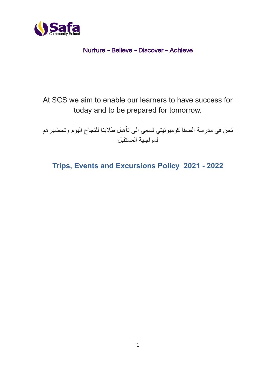

## Nurture ~ Believe ~ Discover ~ Achieve

At SCS we aim to enable our learners to have success for today and to be prepared for tomorrow.

نحن في مدرسة الصفا كوميونيتي نسعى الى تأهيل طالبنا للنجاح اليوم وتحضيرهم لمواجهة المستقبل

**Trips, Events and Excursions Policy 2021 - 2022**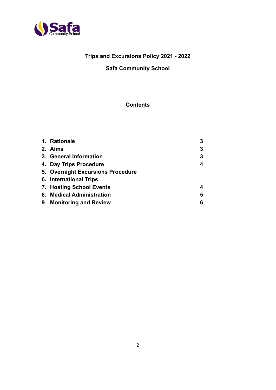

# **Trips and Excursions Policy 2021 - 2022**

## **Safa Community School**

# **Contents**

| 1. Rationale                      | 3 |
|-----------------------------------|---|
| 2. Aims                           | 3 |
| 3. General Information            | 3 |
| 4. Day Trips Procedure            | 4 |
| 5. Overnight Excursions Procedure |   |
| 6. International Trips            |   |
| 7. Hosting School Events          | 4 |
| 8. Medical Administration         | 5 |
| 9. Monitoring and Review          | 6 |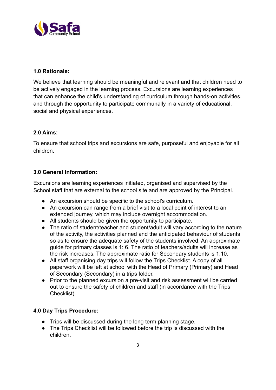

### **1.0 Rationale:**

We believe that learning should be meaningful and relevant and that children need to be actively engaged in the learning process. Excursions are learning experiences that can enhance the child's understanding of curriculum through hands-on activities, and through the opportunity to participate communally in a variety of educational, social and physical experiences.

## **2.0 Aims:**

To ensure that school trips and excursions are safe, purposeful and enjoyable for all children.

### **3.0 General Information:**

Excursions are learning experiences initiated, organised and supervised by the School staff that are external to the school site and are approved by the Principal.

- An excursion should be specific to the school's curriculum.
- An excursion can range from a brief visit to a local point of interest to an extended journey, which may include overnight accommodation.
- All students should be given the opportunity to participate.
- The ratio of student/teacher and student/adult will vary according to the nature of the activity, the activities planned and the anticipated behaviour of students so as to ensure the adequate safety of the students involved. An approximate guide for primary classes is 1: 6. The ratio of teachers/adults will increase as the risk increases. The approximate ratio for Secondary students is 1:10.
- All staff organising day trips will follow the Trips Checklist. A copy of all paperwork will be left at school with the Head of Primary (Primary) and Head of Secondary (Secondary) in a trips folder.
- Prior to the planned excursion a pre-visit and risk assessment will be carried out to ensure the safety of children and staff (in accordance with the Trips Checklist).

### **4.0 Day Trips Procedure:**

- Trips will be discussed during the long term planning stage.
- The Trips Checklist will be followed before the trip is discussed with the children.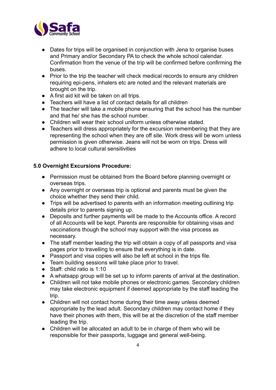

- Dates for trips will be organised in conjunction with Jena to organise buses and Primary and/or Secondary PA to check the whole school calendar. Confirmation from the venue of the trip will be confirmed before confirming the buses.
- Prior to the trip the teacher will check medical records to ensure any children requiring epi-pens, inhalers etc are noted and the relevant materials are brought on the trip.
- A first aid kit will be taken on all trips.
- Teachers will have a list of contact details for all children
- The teacher will take a mobile phone ensuring that the school has the number and that he/ she has the school number.
- Children will wear their school uniform unless otherwise stated.
- Teachers will dress appropriately for the excursion remembering that they are representing the school when they are off site. Work dress will be worn unless permission is given otherwise. Jeans will not be worn on trips. Dress will adhere to local cultural sensitivities

### **5.0 Overnight Excursions Procedure:**

- Permission must be obtained from the Board before planning overnight or overseas trips.
- Any overnight or overseas trip is optional and parents must be given the choice whether they send their child.
- Trips will be advertised to parents with an information meeting outlining trip details prior to parents signing up.
- Deposits and further payments will be made to the Accounts office. A record of all Accounts will be kept. Parents are responsible for obtaining visas and vaccinations though the school may support with the visa process as necessary.
- The staff member leading the trip will obtain a copy of all passports and visa pages prior to travelling to ensure that everything is in date.
- Passport and visa copies will also be left at school in the trips file.
- Team building sessions will take place prior to travel.
- Staff: child ratio is 1:10
- A whatsapp group will be set up to inform parents of arrival at the destination.
- Children will not take mobile phones or electronic games. Secondary children may take electronic equipment if deemed appropriate by the staff leading the trip.
- Children will not contact home during their time away unless deemed appropriate by the lead adult. Secondary children may contact home if they have their phones with them, this will be at the discretion of the staff member leading the trip.
- Children will be allocated an adult to be in charge of them who will be responsible for their passports, luggage and general well-being.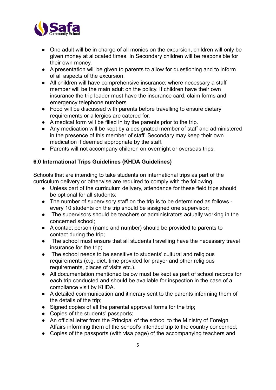

- One adult will be in charge of all monies on the excursion, children will only be given money at allocated times. In Secondary children will be responsible for their own money.
- A presentation will be given to parents to allow for questioning and to inform of all aspects of the excursion.
- All children will have comprehensive insurance; where necessary a staff member will be the main adult on the policy. If children have their own insurance the trip leader must have the insurance card, claim forms and emergency telephone numbers
- Food will be discussed with parents before travelling to ensure dietary requirements or allergies are catered for.
- A medical form will be filled in by the parents prior to the trip.
- Any medication will be kept by a designated member of staff and administered in the presence of this member of staff. Secondary may keep their own medication if deemed appropriate by the staff.
- Parents will not accompany children on overnight or overseas trips.

## **6.0 International Trips Guidelines (KHDA Guidelines)**

Schools that are intending to take students on international trips as part of the curriculum delivery or otherwise are required to comply with the following.

- Unless part of the curriculum delivery, attendance for these field trips should be optional for all students;
- The number of supervisory staff on the trip is to be determined as follows every 10 students on the trip should be assigned one supervisor;
- The supervisors should be teachers or administrators actually working in the concerned school;
- A contact person (name and number) should be provided to parents to contact during the trip;
- The school must ensure that all students travelling have the necessary travel insurance for the trip;
- The school needs to be sensitive to students' cultural and religious requirements (e.g. diet, time provided for prayer and other religious requirements, places of visits etc.).
- All documentation mentioned below must be kept as part of school records for each trip conducted and should be available for inspection in the case of a compliance visit by KHDA.
- A detailed communication and itinerary sent to the parents informing them of the details of the trip;
- Signed copies of all the parental approval forms for the trip;
- Copies of the students' passports;
- An official letter from the Principal of the school to the Ministry of Foreign Affairs informing them of the school's intended trip to the country concerned;
- Copies of the passports (with visa page) of the accompanying teachers and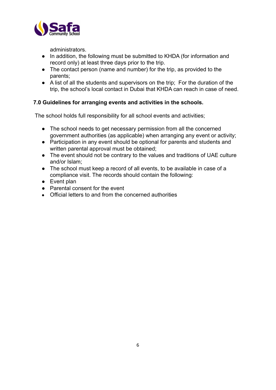

administrators.

- In addition, the following must be submitted to KHDA (for information and record only) at least three days prior to the trip.
- The contact person (name and number) for the trip, as provided to the parents;
- A list of all the students and supervisors on the trip; For the duration of the trip, the school's local contact in Dubai that KHDA can reach in case of need.

### **7.0 Guidelines for arranging events and activities in the schools.**

The school holds full responsibility for all school events and activities;

- The school needs to get necessary permission from all the concerned government authorities (as applicable) when arranging any event or activity;
- Participation in any event should be optional for parents and students and written parental approval must be obtained;
- The event should not be contrary to the values and traditions of UAE culture and/or Islam;
- The school must keep a record of all events, to be available in case of a compliance visit. The records should contain the following:
- Event plan
- Parental consent for the event
- Official letters to and from the concerned authorities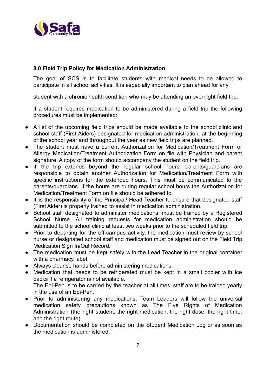

#### **8.0 Field Trip Policy for Medication Administration**

The goal of SCS is to facilitate students with medical needs to be allowed to participate in all school activities. It is especially important to plan ahead for any

student with a chronic health condition who may be attending an overnight field trip.

If a student requires medication to be administered during a field trip the following procedures must be implemented:

- A list of the upcoming field trips should be made available to the school clinic and school staff (First Aiders) designated for medication administration, at the beginning of the school year and throughout the year as new field trips are planned.
- The student must have a current Authorization for Medication/Treatment Form or Allergy Medication/Treatment Authorization Form on file with Physician and parent signature. A copy of the form should accompany the student on the field trip.
- If the trip extends beyond the regular school hours, parents/guardians are responsible to obtain another Authorization for Medication/Treatment Form with specific instructions for the extended hours. This must be communicated to the parents/guardians. If the hours are during regular school hours the Authorization for Medication/Treatment Form on file should be adhered to.
- It is the responsibility of the Principal/ Head Teacher to ensure that designated staff (First Aider) is properly trained to assist in medication administration.
- School staff designated to administer medications, must be trained by a Registered School Nurse. All training requests for medication administration should be submitted to the school clinic at least two weeks prior to the scheduled field trip.
- Prior to departing for the off-campus activity, the medication must review by school nurse or designated school staff and medication must be signed out on the Field Trip Medication Sign In/Out Record.
- The medication must be kept safely with the Lead Teacher in the original container with a pharmacy label.
- Always cleanse hands before administering medications.
- Medication that needs to be refrigerated must be kept in a small cooler with ice packs if a refrigerator is not available. The Epi-Pen is to be carried by the teacher at all times, staff are to be trained yearly
	- in the use of an Epi-Pen.
- Prior to administering any medications, Team Leaders will follow the universal medication safety precautions known as The Five Rights of Medication Administration (the right student, the right medication, the right dose, the right time, and the right route).
- Documentation should be completed on the Student Medication Log or as soon as the medication is administered.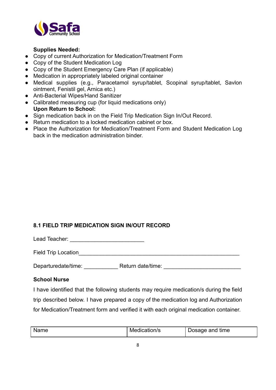

#### **Supplies Needed:**

- Copy of current Authorization for Medication/Treatment Form
- Copy of the Student Medication Log
- Copy of the Student Emergency Care Plan (if applicable)
- Medication in appropriately labeled original container
- Medical supplies (e.g., Paracetamol syrup/tablet, Scopinal syrup/tablet, Savlon ointment, Fenistil gel, Arnica etc.)
- Anti-Bacterial Wipes/Hand Sanitizer
- Calibrated measuring cup (for liquid medications only) **Upon Return to School:**
- Sign medication back in on the Field Trip Medication Sign In/Out Record.
- Return medication to a locked medication cabinet or box.
- Place the Authorization for Medication/Treatment Form and Student Medication Log back in the medication administration binder.

### **8.1 FIELD TRIP MEDICATION SIGN IN/OUT RECORD**

Lead Teacher: \_\_\_\_\_\_\_\_\_\_\_\_\_\_\_\_\_\_\_\_\_\_\_\_

Field Trip Location

Departuredate/time: example Return date/time:  $\blacksquare$ 

#### **School Nurse**

I have identified that the following students may require medication/s during the field trip described below. I have prepared a copy of the medication log and Authorization for Medication/Treatment form and verified it with each original medication container.

| Medication/s<br>Name<br>Dosage and time |  |
|-----------------------------------------|--|
|-----------------------------------------|--|